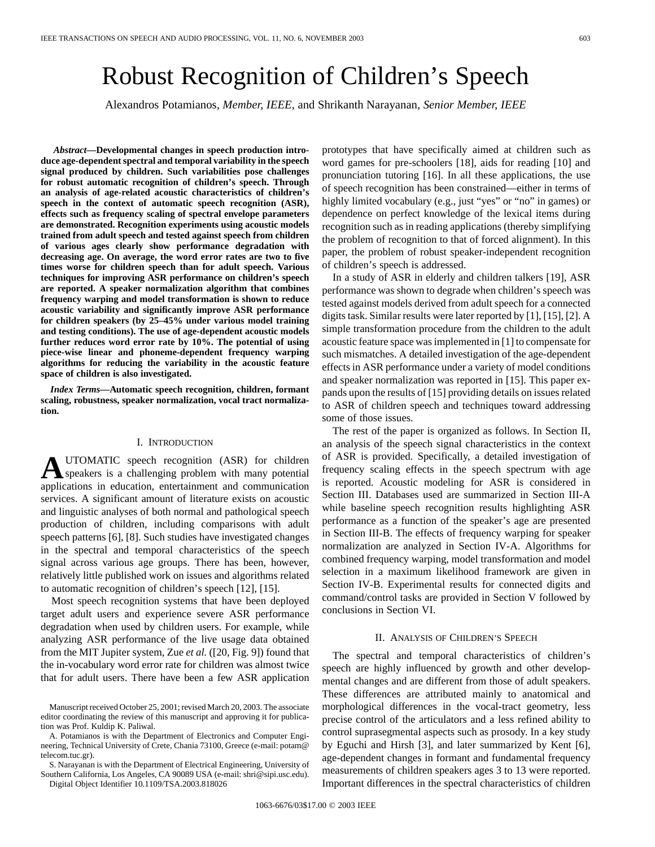# Robust Recognition of Children's Speech

Alexandros Potamianos*, Member, IEEE,* and Shrikanth Narayanan*, Senior Member, IEEE*

*Abstract—***Developmental changes in speech production introduce age-dependent spectral and temporal variability in the speech signal produced by children. Such variabilities pose challenges for robust automatic recognition of children's speech. Through an analysis of age-related acoustic characteristics of children's speech in the context of automatic speech recognition (ASR), effects such as frequency scaling of spectral envelope parameters are demonstrated. Recognition experiments using acoustic models trained from adult speech and tested against speech from children of various ages clearly show performance degradation with decreasing age. On average, the word error rates are two to five times worse for children speech than for adult speech. Various techniques for improving ASR performance on children's speech are reported. A speaker normalization algorithm that combines frequency warping and model transformation is shown to reduce acoustic variability and significantly improve ASR performance for children speakers (by 25–45% under various model training and testing conditions). The use of age-dependent acoustic models further reduces word error rate by 10%. The potential of using piece-wise linear and phoneme-dependent frequency warping algorithms for reducing the variability in the acoustic feature space of children is also investigated.**

*Index Terms—***Automatic speech recognition, children, formant scaling, robustness, speaker normalization, vocal tract normalization.**

#### I. INTRODUCTION

**A**UTOMATIC speech recognition (ASR) for children<br>speakers is a challenging problem with many potential applications in education, entertainment and communication services. A significant amount of literature exists on acoustic and linguistic analyses of both normal and pathological speech production of children, including comparisons with adult speech patterns [6], [8]. Such studies have investigated changes in the spectral and temporal characteristics of the speech signal across various age groups. There has been, however, relatively little published work on issues and algorithms related to automatic recognition of children's speech [12], [15].

Most speech recognition systems that have been deployed target adult users and experience severe ASR performance degradation when used by children users. For example, while analyzing ASR performance of the live usage data obtained from the MIT Jupiter system, Zue *et al.* ([20, Fig. 9]) found that the in-vocabulary word error rate for children was almost twice that for adult users. There have been a few ASR application

A. Potamianos is with the Department of Electronics and Computer Engineering, Technical University of Crete, Chania 73100, Greece (e-mail: potam@ telecom.tuc.gr).

S. Narayanan is with the Department of Electrical Engineering, University of Southern California, Los Angeles, CA 90089 USA (e-mail: shri@sipi.usc.edu).

Digital Object Identifier 10.1109/TSA.2003.818026

prototypes that have specifically aimed at children such as word games for pre-schoolers [18], aids for reading [10] and pronunciation tutoring [16]. In all these applications, the use of speech recognition has been constrained—either in terms of highly limited vocabulary (e.g., just "yes" or "no" in games) or dependence on perfect knowledge of the lexical items during recognition such as in reading applications (thereby simplifying the problem of recognition to that of forced alignment). In this paper, the problem of robust speaker-independent recognition of children's speech is addressed.

In a study of ASR in elderly and children talkers [19], ASR performance was shown to degrade when children's speech was tested against models derived from adult speech for a connected digits task. Similar results were later reported by [1], [15], [2]. A simple transformation procedure from the children to the adult acoustic feature space was implemented in [1] to compensate for such mismatches. A detailed investigation of the age-dependent effects in ASR performance under a variety of model conditions and speaker normalization was reported in [15]. This paper expands upon the results of [15] providing details on issues related to ASR of children speech and techniques toward addressing some of those issues.

The rest of the paper is organized as follows. In Section II, an analysis of the speech signal characteristics in the context of ASR is provided. Specifically, a detailed investigation of frequency scaling effects in the speech spectrum with age is reported. Acoustic modeling for ASR is considered in Section III. Databases used are summarized in Section III-A while baseline speech recognition results highlighting ASR performance as a function of the speaker's age are presented in Section III-B. The effects of frequency warping for speaker normalization are analyzed in Section IV-A. Algorithms for combined frequency warping, model transformation and model selection in a maximum likelihood framework are given in Section IV-B. Experimental results for connected digits and command/control tasks are provided in Section V followed by conclusions in Section VI.

#### II. ANALYSIS OF CHILDREN'S SPEECH

The spectral and temporal characteristics of children's speech are highly influenced by growth and other developmental changes and are different from those of adult speakers. These differences are attributed mainly to anatomical and morphological differences in the vocal-tract geometry, less precise control of the articulators and a less refined ability to control suprasegmental aspects such as prosody. In a key study by Eguchi and Hirsh [3], and later summarized by Kent [6], age-dependent changes in formant and fundamental frequency measurements of children speakers ages 3 to 13 were reported. Important differences in the spectral characteristics of children

Manuscript received October 25, 2001; revised March 20, 2003. The associate editor coordinating the review of this manuscript and approving it for publication was Prof. Kuldip K. Paliwal.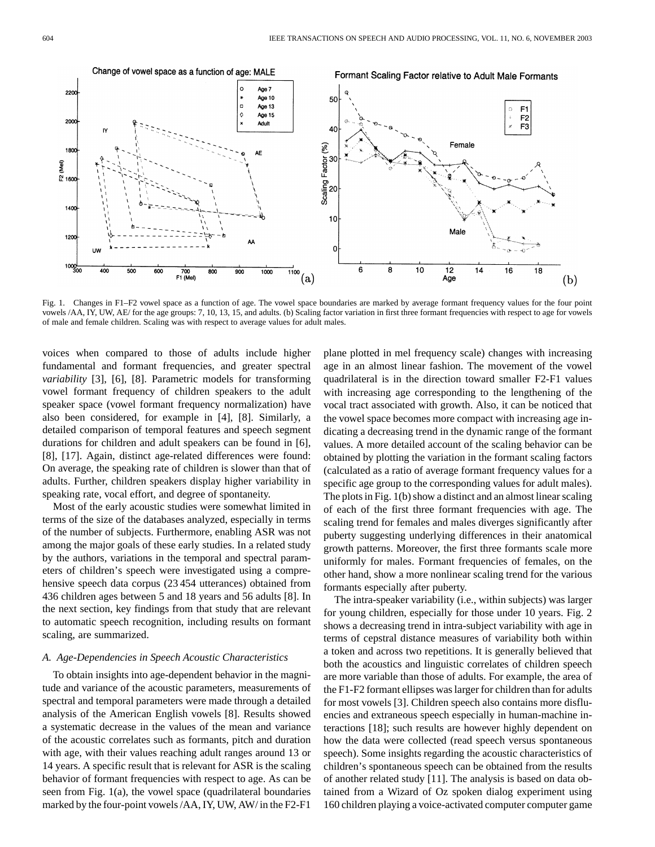

Fig. 1. Changes in F1–F2 vowel space as a function of age. The vowel space boundaries are marked by average formant frequency values for the four point vowels /AA, IY, UW, AE/ for the age groups: 7, 10, 13, 15, and adults. (b) Scaling factor variation in first three formant frequencies with respect to age for vowels of male and female children. Scaling was with respect to average values for adult males.

voices when compared to those of adults include higher fundamental and formant frequencies, and greater spectral *variability* [3], [6], [8]. Parametric models for transforming vowel formant frequency of children speakers to the adult speaker space (vowel formant frequency normalization) have also been considered, for example in [4], [8]. Similarly, a detailed comparison of temporal features and speech segment durations for children and adult speakers can be found in [6], [8], [17]. Again, distinct age-related differences were found: On average, the speaking rate of children is slower than that of adults. Further, children speakers display higher variability in speaking rate, vocal effort, and degree of spontaneity.

Most of the early acoustic studies were somewhat limited in terms of the size of the databases analyzed, especially in terms of the number of subjects. Furthermore, enabling ASR was not among the major goals of these early studies. In a related study by the authors, variations in the temporal and spectral parameters of children's speech were investigated using a comprehensive speech data corpus (23 454 utterances) obtained from 436 children ages between 5 and 18 years and 56 adults [8]. In the next section, key findings from that study that are relevant to automatic speech recognition, including results on formant scaling, are summarized.

## *A. Age-Dependencies in Speech Acoustic Characteristics*

To obtain insights into age-dependent behavior in the magnitude and variance of the acoustic parameters, measurements of spectral and temporal parameters were made through a detailed analysis of the American English vowels [8]. Results showed a systematic decrease in the values of the mean and variance of the acoustic correlates such as formants, pitch and duration with age, with their values reaching adult ranges around 13 or 14 years. A specific result that is relevant for ASR is the scaling behavior of formant frequencies with respect to age. As can be seen from Fig. 1(a), the vowel space (quadrilateral boundaries marked by the four-point vowels /AA, IY, UW, AW/ in the F2-F1

plane plotted in mel frequency scale) changes with increasing age in an almost linear fashion. The movement of the vowel quadrilateral is in the direction toward smaller F2-F1 values with increasing age corresponding to the lengthening of the vocal tract associated with growth. Also, it can be noticed that the vowel space becomes more compact with increasing age indicating a decreasing trend in the dynamic range of the formant values. A more detailed account of the scaling behavior can be obtained by plotting the variation in the formant scaling factors (calculated as a ratio of average formant frequency values for a specific age group to the corresponding values for adult males). The plots in Fig. 1(b) show a distinct and an almost linear scaling of each of the first three formant frequencies with age. The scaling trend for females and males diverges significantly after puberty suggesting underlying differences in their anatomical growth patterns. Moreover, the first three formants scale more uniformly for males. Formant frequencies of females, on the other hand, show a more nonlinear scaling trend for the various formants especially after puberty.

The intra-speaker variability (i.e., within subjects) was larger for young children, especially for those under 10 years. Fig. 2 shows a decreasing trend in intra-subject variability with age in terms of cepstral distance measures of variability both within a token and across two repetitions. It is generally believed that both the acoustics and linguistic correlates of children speech are more variable than those of adults. For example, the area of the F1-F2 formant ellipses was larger for children than for adults for most vowels [3]. Children speech also contains more disfluencies and extraneous speech especially in human-machine interactions [18]; such results are however highly dependent on how the data were collected (read speech versus spontaneous speech). Some insights regarding the acoustic characteristics of children's spontaneous speech can be obtained from the results of another related study [11]. The analysis is based on data obtained from a Wizard of Oz spoken dialog experiment using 160 children playing a voice-activated computer computer game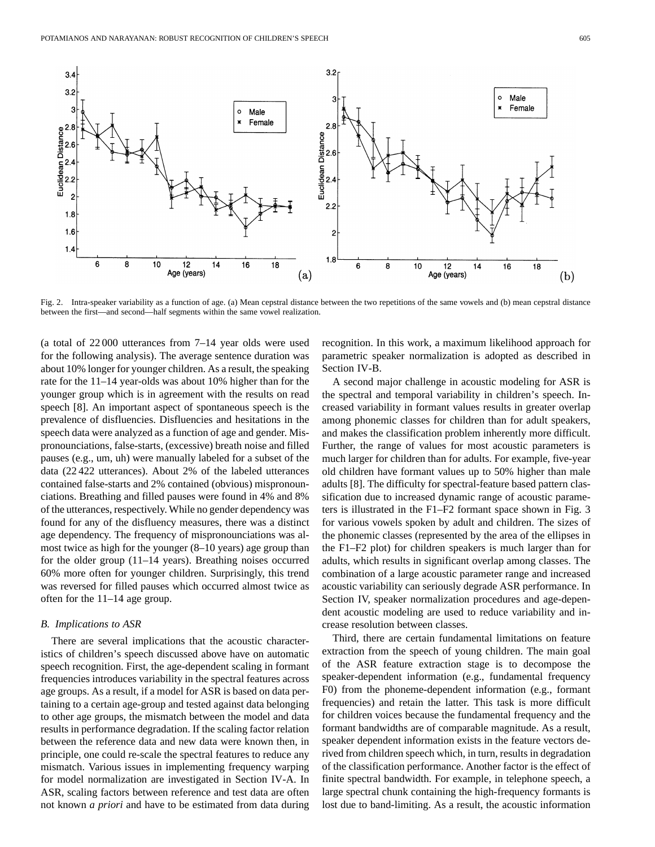

Fig. 2. Intra-speaker variability as a function of age. (a) Mean cepstral distance between the two repetitions of the same vowels and (b) mean cepstral distance between the first—and second—half segments within the same vowel realization.

(a total of 22 000 utterances from 7–14 year olds were used for the following analysis). The average sentence duration was about 10% longer for younger children. As a result, the speaking rate for the 11–14 year-olds was about 10% higher than for the younger group which is in agreement with the results on read speech [8]. An important aspect of spontaneous speech is the prevalence of disfluencies. Disfluencies and hesitations in the speech data were analyzed as a function of age and gender. Mispronounciations, false-starts, (excessive) breath noise and filled pauses (e.g., um, uh) were manually labeled for a subset of the data (22 422 utterances). About 2% of the labeled utterances contained false-starts and 2% contained (obvious) mispronounciations. Breathing and filled pauses were found in 4% and 8% of the utterances, respectively. While no gender dependency was found for any of the disfluency measures, there was a distinct age dependency. The frequency of mispronounciations was almost twice as high for the younger (8–10 years) age group than for the older group (11–14 years). Breathing noises occurred 60% more often for younger children. Surprisingly, this trend was reversed for filled pauses which occurred almost twice as often for the 11–14 age group.

## *B. Implications to ASR*

There are several implications that the acoustic characteristics of children's speech discussed above have on automatic speech recognition. First, the age-dependent scaling in formant frequencies introduces variability in the spectral features across age groups. As a result, if a model for ASR is based on data pertaining to a certain age-group and tested against data belonging to other age groups, the mismatch between the model and data results in performance degradation. If the scaling factor relation between the reference data and new data were known then, in principle, one could re-scale the spectral features to reduce any mismatch. Various issues in implementing frequency warping for model normalization are investigated in Section IV-A. In ASR, scaling factors between reference and test data are often not known *a priori* and have to be estimated from data during recognition. In this work, a maximum likelihood approach for parametric speaker normalization is adopted as described in Section IV-B.

A second major challenge in acoustic modeling for ASR is the spectral and temporal variability in children's speech. Increased variability in formant values results in greater overlap among phonemic classes for children than for adult speakers, and makes the classification problem inherently more difficult. Further, the range of values for most acoustic parameters is much larger for children than for adults. For example, five-year old children have formant values up to 50% higher than male adults [8]. The difficulty for spectral-feature based pattern classification due to increased dynamic range of acoustic parameters is illustrated in the F1–F2 formant space shown in Fig. 3 for various vowels spoken by adult and children. The sizes of the phonemic classes (represented by the area of the ellipses in the F1–F2 plot) for children speakers is much larger than for adults, which results in significant overlap among classes. The combination of a large acoustic parameter range and increased acoustic variability can seriously degrade ASR performance. In Section IV, speaker normalization procedures and age-dependent acoustic modeling are used to reduce variability and increase resolution between classes.

Third, there are certain fundamental limitations on feature extraction from the speech of young children. The main goal of the ASR feature extraction stage is to decompose the speaker-dependent information (e.g., fundamental frequency F0) from the phoneme-dependent information (e.g., formant frequencies) and retain the latter. This task is more difficult for children voices because the fundamental frequency and the formant bandwidths are of comparable magnitude. As a result, speaker dependent information exists in the feature vectors derived from children speech which, in turn, results in degradation of the classification performance. Another factor is the effect of finite spectral bandwidth. For example, in telephone speech, a large spectral chunk containing the high-frequency formants is lost due to band-limiting. As a result, the acoustic information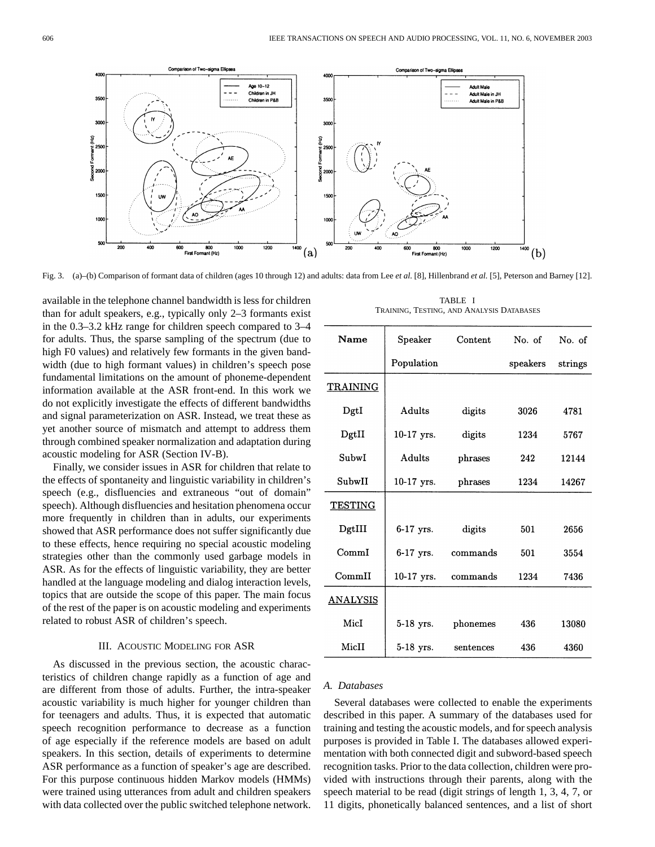

Fig. 3. (a)–(b) Comparison of formant data of children (ages 10 through 12) and adults: data from Lee *et al.* [8], Hillenbrand *et al.* [5], Peterson and Barney [12].

available in the telephone channel bandwidth is less for children than for adult speakers, e.g., typically only 2–3 formants exist in the 0.3–3.2 kHz range for children speech compared to 3–4 for adults. Thus, the sparse sampling of the spectrum (due to high F0 values) and relatively few formants in the given bandwidth (due to high formant values) in children's speech pose fundamental limitations on the amount of phoneme-dependent information available at the ASR front-end. In this work we do not explicitly investigate the effects of different bandwidths and signal parameterization on ASR. Instead, we treat these as yet another source of mismatch and attempt to address them through combined speaker normalization and adaptation during acoustic modeling for ASR (Section IV-B).

Finally, we consider issues in ASR for children that relate to the effects of spontaneity and linguistic variability in children's speech (e.g., disfluencies and extraneous "out of domain" speech). Although disfluencies and hesitation phenomena occur more frequently in children than in adults, our experiments showed that ASR performance does not suffer significantly due to these effects, hence requiring no special acoustic modeling strategies other than the commonly used garbage models in ASR. As for the effects of linguistic variability, they are better handled at the language modeling and dialog interaction levels, topics that are outside the scope of this paper. The main focus of the rest of the paper is on acoustic modeling and experiments related to robust ASR of children's speech.

## III. ACOUSTIC MODELING FOR ASR

As discussed in the previous section, the acoustic characteristics of children change rapidly as a function of age and are different from those of adults. Further, the intra-speaker acoustic variability is much higher for younger children than for teenagers and adults. Thus, it is expected that automatic speech recognition performance to decrease as a function of age especially if the reference models are based on adult speakers. In this section, details of experiments to determine ASR performance as a function of speaker's age are described. For this purpose continuous hidden Markov models (HMMs) were trained using utterances from adult and children speakers with data collected over the public switched telephone network.

TABLE I TRAINING, TESTING, AND ANALYSIS DATABASES

| <b>Name</b>     | $S$ peaker  | Content   | No. of   | No. of  |
|-----------------|-------------|-----------|----------|---------|
|                 | Population  |           | speakers | strings |
| <b>TRAINING</b> |             |           |          |         |
| DgtI            | Adults      | digits    | 3026     | 4781    |
| DgtII           | 10-17 yrs.  | digits    | 1234     | 5767    |
| SubwI           | Adults      | phrases   | 242      | 12144   |
| SubwII          | 10-17 yrs.  | phrases   | 1234     | 14267   |
| <b>TESTING</b>  |             |           |          |         |
| DgtIII          | $6-17$ yrs. | digits    | 501      | 2656    |
| CommI           | $6-17$ yrs. | commands  | 501      | 3554    |
| CommonII        | 10-17 yrs.  | commands  | 1234     | 7436    |
| <b>ANALYSIS</b> |             |           |          |         |
| MicI            | 5-18 yrs.   | phonemes  | 436      | 13080   |
| MicII           | 5-18 yrs.   | sentences | 436      | 4360    |

# *A. Databases*

Several databases were collected to enable the experiments described in this paper. A summary of the databases used for training and testing the acoustic models, and for speech analysis purposes is provided in Table I. The databases allowed experimentation with both connected digit and subword-based speech recognition tasks. Prior to the data collection, children were provided with instructions through their parents, along with the speech material to be read (digit strings of length 1, 3, 4, 7, or 11 digits, phonetically balanced sentences, and a list of short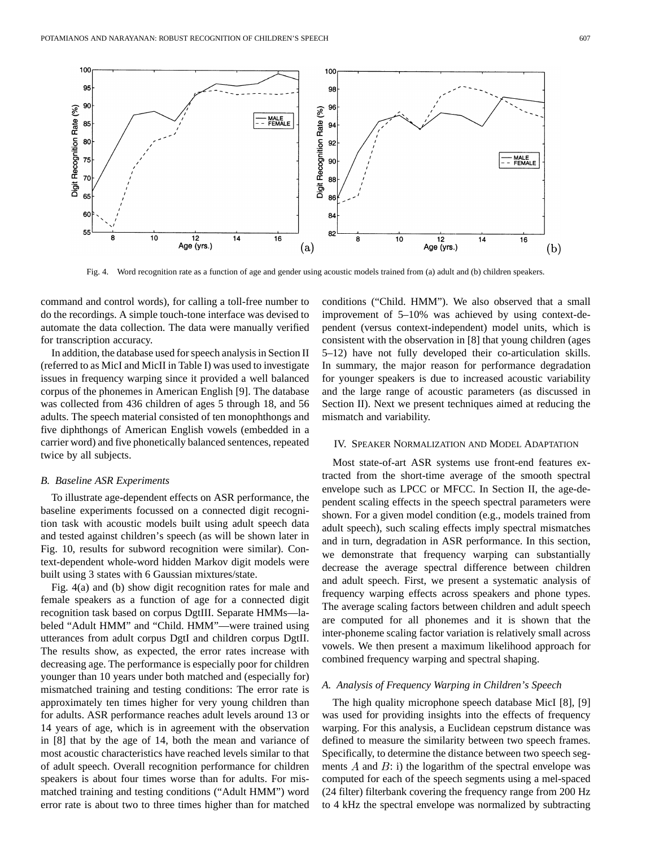

Fig. 4. Word recognition rate as a function of age and gender using acoustic models trained from (a) adult and (b) children speakers.

command and control words), for calling a toll-free number to do the recordings. A simple touch-tone interface was devised to automate the data collection. The data were manually verified for transcription accuracy.

In addition, the database used for speech analysis in Section II (referred to as MicI and MicII in Table I) was used to investigate issues in frequency warping since it provided a well balanced corpus of the phonemes in American English [9]. The database was collected from 436 children of ages 5 through 18, and 56 adults. The speech material consisted of ten monophthongs and five diphthongs of American English vowels (embedded in a carrier word) and five phonetically balanced sentences, repeated twice by all subjects.

### *B. Baseline ASR Experiments*

To illustrate age-dependent effects on ASR performance, the baseline experiments focussed on a connected digit recognition task with acoustic models built using adult speech data and tested against children's speech (as will be shown later in Fig. 10, results for subword recognition were similar). Context-dependent whole-word hidden Markov digit models were built using 3 states with 6 Gaussian mixtures/state.

Fig. 4(a) and (b) show digit recognition rates for male and female speakers as a function of age for a connected digit recognition task based on corpus DgtIII. Separate HMMs—labeled "Adult HMM" and "Child. HMM"—were trained using utterances from adult corpus DgtI and children corpus DgtII. The results show, as expected, the error rates increase with decreasing age. The performance is especially poor for children younger than 10 years under both matched and (especially for) mismatched training and testing conditions: The error rate is approximately ten times higher for very young children than for adults. ASR performance reaches adult levels around 13 or 14 years of age, which is in agreement with the observation in [8] that by the age of 14, both the mean and variance of most acoustic characteristics have reached levels similar to that of adult speech. Overall recognition performance for children speakers is about four times worse than for adults. For mismatched training and testing conditions ("Adult HMM") word error rate is about two to three times higher than for matched conditions ("Child. HMM"). We also observed that a small improvement of 5–10% was achieved by using context-dependent (versus context-independent) model units, which is consistent with the observation in [8] that young children (ages 5–12) have not fully developed their co-articulation skills. In summary, the major reason for performance degradation for younger speakers is due to increased acoustic variability and the large range of acoustic parameters (as discussed in Section II). Next we present techniques aimed at reducing the mismatch and variability.

## IV. SPEAKER NORMALIZATION AND MODEL ADAPTATION

Most state-of-art ASR systems use front-end features extracted from the short-time average of the smooth spectral envelope such as LPCC or MFCC. In Section II, the age-dependent scaling effects in the speech spectral parameters were shown. For a given model condition (e.g., models trained from adult speech), such scaling effects imply spectral mismatches and in turn, degradation in ASR performance. In this section, we demonstrate that frequency warping can substantially decrease the average spectral difference between children and adult speech. First, we present a systematic analysis of frequency warping effects across speakers and phone types. The average scaling factors between children and adult speech are computed for all phonemes and it is shown that the inter-phoneme scaling factor variation is relatively small across vowels. We then present a maximum likelihood approach for combined frequency warping and spectral shaping.

## *A. Analysis of Frequency Warping in Children's Speech*

The high quality microphone speech database MicI [8], [9] was used for providing insights into the effects of frequency warping. For this analysis, a Euclidean cepstrum distance was defined to measure the similarity between two speech frames. Specifically, to determine the distance between two speech segments  $\vec{A}$  and  $\vec{B}$ : i) the logarithm of the spectral envelope was computed for each of the speech segments using a mel-spaced (24 filter) filterbank covering the frequency range from 200 Hz to 4 kHz the spectral envelope was normalized by subtracting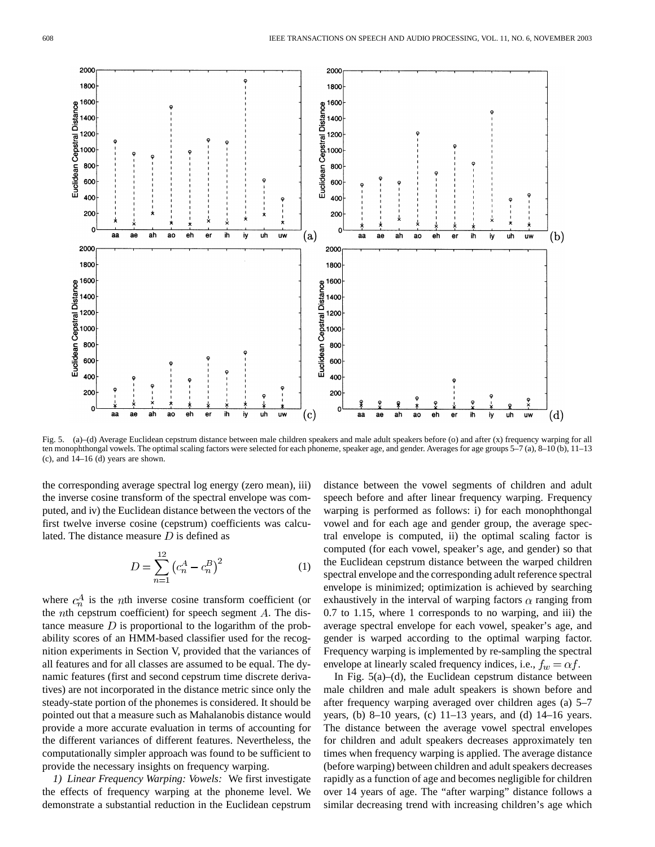

Fig. 5. (a)–(d) Average Euclidean cepstrum distance between male children speakers and male adult speakers before (o) and after (x) frequency warping for all ten monophthongal vowels. The optimal scaling factors were selected for each phoneme, speaker age, and gender. Averages for age groups 5–7 (a), 8–10 (b), 11–13 (c), and 14–16 (d) years are shown.

the corresponding average spectral log energy (zero mean), iii) the inverse cosine transform of the spectral envelope was computed, and iv) the Euclidean distance between the vectors of the first twelve inverse cosine (cepstrum) coefficients was calculated. The distance measure  $D$  is defined as

$$
D = \sum_{n=1}^{12} (c_n^A - c_n^B)^2
$$
 (1)

where  $c_n^A$  is the *n*th inverse cosine transform coefficient (or the *n*th cepstrum coefficient) for speech segment  $A$ . The distance measure  $D$  is proportional to the logarithm of the probability scores of an HMM-based classifier used for the recognition experiments in Section V, provided that the variances of all features and for all classes are assumed to be equal. The dynamic features (first and second cepstrum time discrete derivatives) are not incorporated in the distance metric since only the steady-state portion of the phonemes is considered. It should be pointed out that a measure such as Mahalanobis distance would provide a more accurate evaluation in terms of accounting for the different variances of different features. Nevertheless, the computationally simpler approach was found to be sufficient to provide the necessary insights on frequency warping.

*1) Linear Frequency Warping: Vowels:* We first investigate the effects of frequency warping at the phoneme level. We demonstrate a substantial reduction in the Euclidean cepstrum distance between the vowel segments of children and adult speech before and after linear frequency warping. Frequency warping is performed as follows: i) for each monophthongal vowel and for each age and gender group, the average spectral envelope is computed, ii) the optimal scaling factor is computed (for each vowel, speaker's age, and gender) so that the Euclidean cepstrum distance between the warped children spectral envelope and the corresponding adult reference spectral envelope is minimized; optimization is achieved by searching exhaustively in the interval of warping factors  $\alpha$  ranging from 0.7 to 1.15, where 1 corresponds to no warping, and iii) the average spectral envelope for each vowel, speaker's age, and gender is warped according to the optimal warping factor. Frequency warping is implemented by re-sampling the spectral envelope at linearly scaled frequency indices, i.e.,  $f_w = \alpha f$ .

In Fig.  $5(a)$ –(d), the Euclidean cepstrum distance between male children and male adult speakers is shown before and after frequency warping averaged over children ages (a) 5–7 years, (b) 8–10 years, (c) 11–13 years, and (d) 14–16 years. The distance between the average vowel spectral envelopes for children and adult speakers decreases approximately ten times when frequency warping is applied. The average distance (before warping) between children and adult speakers decreases rapidly as a function of age and becomes negligible for children over 14 years of age. The "after warping" distance follows a similar decreasing trend with increasing children's age which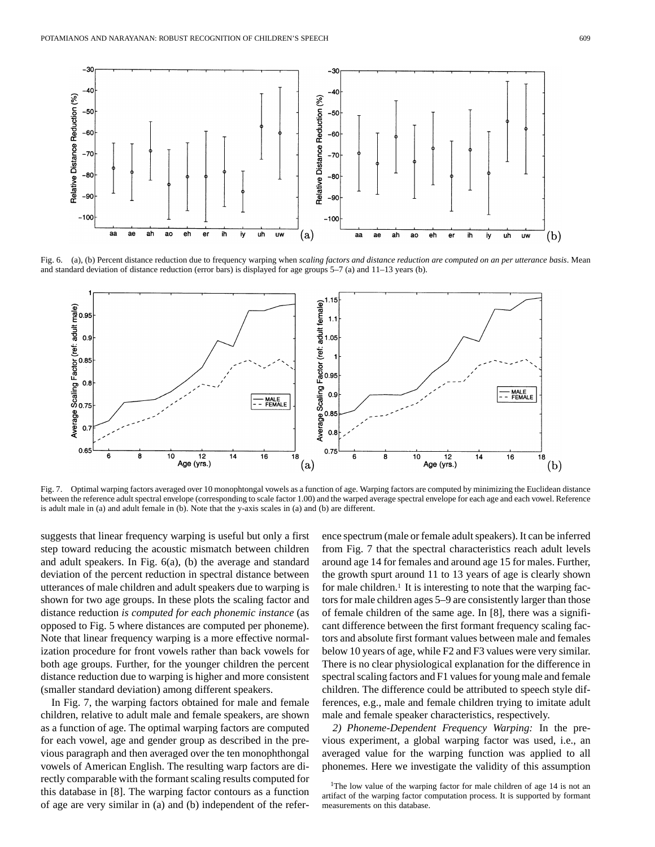

Fig. 6. (a), (b) Percent distance reduction due to frequency warping when *scaling factors and distance reduction are computed on an per utterance basis*. Mean and standard deviation of distance reduction (error bars) is displayed for age groups 5–7 (a) and 11–13 years (b).



Fig. 7. Optimal warping factors averaged over 10 monophtongal vowels as a function of age. Warping factors are computed by minimizing the Euclidean distance between the reference adult spectral envelope (corresponding to scale factor 1.00) and the warped average spectral envelope for each age and each vowel. Reference is adult male in (a) and adult female in (b). Note that the y-axis scales in (a) and (b) are different.

suggests that linear frequency warping is useful but only a first step toward reducing the acoustic mismatch between children and adult speakers. In Fig. 6(a), (b) the average and standard deviation of the percent reduction in spectral distance between utterances of male children and adult speakers due to warping is shown for two age groups. In these plots the scaling factor and distance reduction *is computed for each phonemic instance* (as opposed to Fig. 5 where distances are computed per phoneme). Note that linear frequency warping is a more effective normalization procedure for front vowels rather than back vowels for both age groups. Further, for the younger children the percent distance reduction due to warping is higher and more consistent (smaller standard deviation) among different speakers.

In Fig. 7, the warping factors obtained for male and female children, relative to adult male and female speakers, are shown as a function of age. The optimal warping factors are computed for each vowel, age and gender group as described in the previous paragraph and then averaged over the ten monophthongal vowels of American English. The resulting warp factors are directly comparable with the formant scaling results computed for this database in [8]. The warping factor contours as a function of age are very similar in (a) and (b) independent of the reference spectrum (male or female adult speakers). It can be inferred from Fig. 7 that the spectral characteristics reach adult levels around age 14 for females and around age 15 for males. Further, the growth spurt around 11 to 13 years of age is clearly shown for male children.<sup>1</sup> It is interesting to note that the warping factors for male children ages 5–9 are consistently larger than those of female children of the same age. In [8], there was a significant difference between the first formant frequency scaling factors and absolute first formant values between male and females below 10 years of age, while F2 and F3 values were very similar. There is no clear physiological explanation for the difference in spectral scaling factors and F1 values for young male and female children. The difference could be attributed to speech style differences, e.g., male and female children trying to imitate adult male and female speaker characteristics, respectively.

*2) Phoneme-Dependent Frequency Warping:* In the previous experiment, a global warping factor was used, i.e., an averaged value for the warping function was applied to all phonemes. Here we investigate the validity of this assumption

<sup>&</sup>lt;sup>1</sup>The low value of the warping factor for male children of age 14 is not an artifact of the warping factor computation process. It is supported by formant measurements on this database.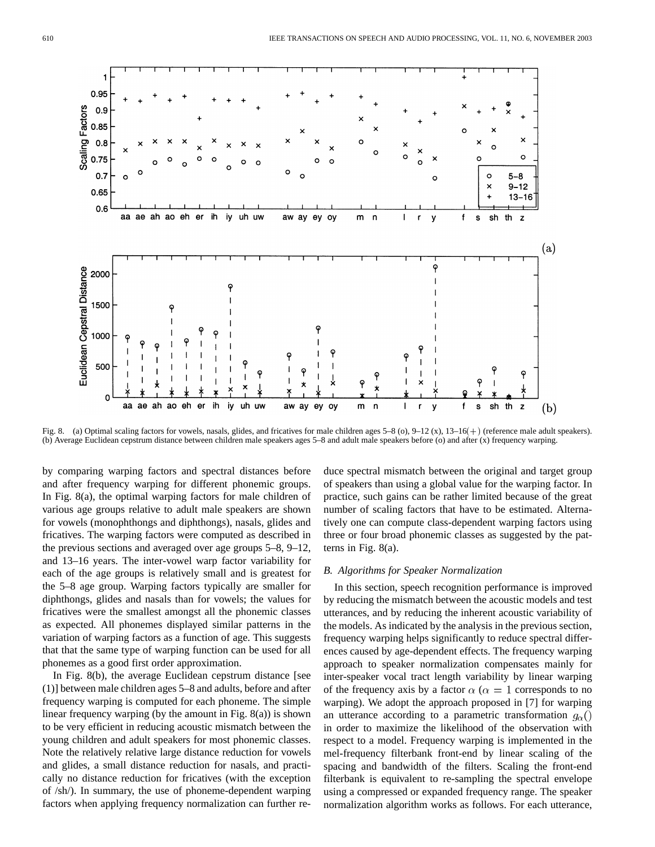

Fig. 8. (a) Optimal scaling factors for vowels, nasals, glides, and fricatives for male children ages 5–8 (o), 9–12 (x), 13–16(+) (reference male adult speakers). (b) Average Euclidean cepstrum distance between children male speakers ages 5–8 and adult male speakers before (o) and after (x) frequency warping.

by comparing warping factors and spectral distances before and after frequency warping for different phonemic groups. In Fig. 8(a), the optimal warping factors for male children of various age groups relative to adult male speakers are shown for vowels (monophthongs and diphthongs), nasals, glides and fricatives. The warping factors were computed as described in the previous sections and averaged over age groups 5–8, 9–12, and 13–16 years. The inter-vowel warp factor variability for each of the age groups is relatively small and is greatest for the 5–8 age group. Warping factors typically are smaller for diphthongs, glides and nasals than for vowels; the values for fricatives were the smallest amongst all the phonemic classes as expected. All phonemes displayed similar patterns in the variation of warping factors as a function of age. This suggests that that the same type of warping function can be used for all phonemes as a good first order approximation.

In Fig. 8(b), the average Euclidean cepstrum distance [see (1)] between male children ages 5–8 and adults, before and after frequency warping is computed for each phoneme. The simple linear frequency warping (by the amount in Fig. 8(a)) is shown to be very efficient in reducing acoustic mismatch between the young children and adult speakers for most phonemic classes. Note the relatively relative large distance reduction for vowels and glides, a small distance reduction for nasals, and practically no distance reduction for fricatives (with the exception of /sh/). In summary, the use of phoneme-dependent warping factors when applying frequency normalization can further reduce spectral mismatch between the original and target group of speakers than using a global value for the warping factor. In practice, such gains can be rather limited because of the great number of scaling factors that have to be estimated. Alternatively one can compute class-dependent warping factors using three or four broad phonemic classes as suggested by the patterns in Fig. 8(a).

## *B. Algorithms for Speaker Normalization*

In this section, speech recognition performance is improved by reducing the mismatch between the acoustic models and test utterances, and by reducing the inherent acoustic variability of the models. As indicated by the analysis in the previous section, frequency warping helps significantly to reduce spectral differences caused by age-dependent effects. The frequency warping approach to speaker normalization compensates mainly for inter-speaker vocal tract length variability by linear warping of the frequency axis by a factor  $\alpha$  ( $\alpha = 1$  corresponds to no warping). We adopt the approach proposed in [7] for warping an utterance according to a parametric transformation  $g_{\alpha}$ . in order to maximize the likelihood of the observation with respect to a model. Frequency warping is implemented in the mel-frequency filterbank front-end by linear scaling of the spacing and bandwidth of the filters. Scaling the front-end filterbank is equivalent to re-sampling the spectral envelope using a compressed or expanded frequency range. The speaker normalization algorithm works as follows. For each utterance,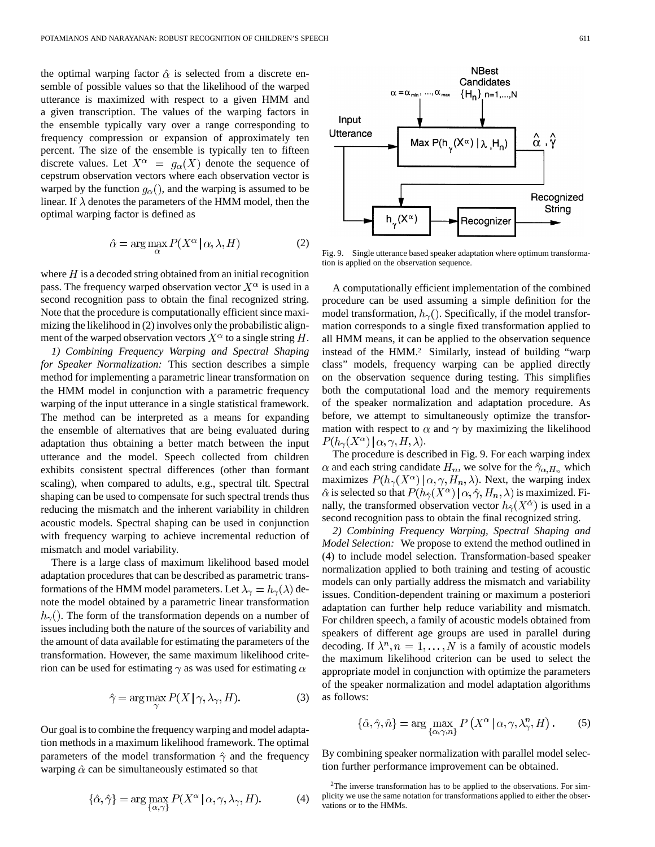the optimal warping factor  $\hat{\alpha}$  is selected from a discrete ensemble of possible values so that the likelihood of the warped utterance is maximized with respect to a given HMM and a given transcription. The values of the warping factors in the ensemble typically vary over a range corresponding to frequency compression or expansion of approximately ten percent. The size of the ensemble is typically ten to fifteen discrete values. Let  $X^{\alpha} = g_{\alpha}(X)$  denote the sequence of cepstrum observation vectors where each observation vector is warped by the function  $g_{\alpha}$ (), and the warping is assumed to be linear. If  $\lambda$  denotes the parameters of the HMM model, then the optimal warping factor is defined as

$$
\hat{\alpha} = \arg\max_{\alpha} P(X^{\alpha} | \alpha, \lambda, H)
$$
 (2)

where  $H$  is a decoded string obtained from an initial recognition pass. The frequency warped observation vector  $X^{\alpha}$  is used in a second recognition pass to obtain the final recognized string. Note that the procedure is computationally efficient since maximizing the likelihood in (2) involves only the probabilistic alignment of the warped observation vectors  $X^{\alpha}$  to a single string H.

*1) Combining Frequency Warping and Spectral Shaping for Speaker Normalization:* This section describes a simple method for implementing a parametric linear transformation on the HMM model in conjunction with a parametric frequency warping of the input utterance in a single statistical framework. The method can be interpreted as a means for expanding the ensemble of alternatives that are being evaluated during adaptation thus obtaining a better match between the input utterance and the model. Speech collected from children exhibits consistent spectral differences (other than formant scaling), when compared to adults, e.g., spectral tilt. Spectral shaping can be used to compensate for such spectral trends thus reducing the mismatch and the inherent variability in children acoustic models. Spectral shaping can be used in conjunction with frequency warping to achieve incremental reduction of mismatch and model variability.

There is a large class of maximum likelihood based model adaptation procedures that can be described as parametric transformations of the HMM model parameters. Let  $\lambda_{\gamma} = h_{\gamma}(\lambda)$  denote the model obtained by a parametric linear transformation  $h<sub>\gamma</sub>$ . The form of the transformation depends on a number of issues including both the nature of the sources of variability and the amount of data available for estimating the parameters of the transformation. However, the same maximum likelihood criterion can be used for estimating  $\gamma$  as was used for estimating  $\alpha$ 

$$
\hat{\gamma} = \arg\max_{\gamma} P(X \mid \gamma, \lambda_{\gamma}, H). \tag{3}
$$

Our goal is to combine the frequency warping and model adaptation methods in a maximum likelihood framework. The optimal parameters of the model transformation  $\hat{\gamma}$  and the frequency warping  $\hat{\alpha}$  can be simultaneously estimated so that

$$
\{\hat{\alpha}, \hat{\gamma}\} = \arg\max_{\{\alpha, \gamma\}} P(X^{\alpha} \mid \alpha, \gamma, \lambda_{\gamma}, H). \tag{4}
$$



Fig. 9. Single utterance based speaker adaptation where optimum transformation is applied on the observation sequence.

A computationally efficient implementation of the combined procedure can be used assuming a simple definition for the model transformation,  $h_{\gamma}$ ). Specifically, if the model transformation corresponds to a single fixed transformation applied to all HMM means, it can be applied to the observation sequence instead of the HMM.2 Similarly, instead of building "warp class" models, frequency warping can be applied directly on the observation sequence during testing. This simplifies both the computational load and the memory requirements of the speaker normalization and adaptation procedure. As before, we attempt to simultaneously optimize the transformation with respect to  $\alpha$  and  $\gamma$  by maximizing the likelihood  $P(h_{\gamma}(X^{\alpha}) | \alpha, \gamma, H, \lambda).$ 

The procedure is described in Fig. 9. For each warping index  $\alpha$  and each string candidate  $H_n$ , we solve for the  $\hat{\gamma}_{\alpha,H_n}$  which maximizes  $P(h_{\gamma}(X^{\alpha}) | \alpha, \gamma, H_n, \lambda)$ . Next, the warping index  $\hat{\alpha}$  is selected so that  $P(h_{\hat{\gamma}}(X^{\alpha}) | \alpha, \hat{\gamma}, H_n, \lambda)$  is maximized. Finally, the transformed observation vector  $h_{\hat{\gamma}}(X^{\hat{\alpha}})$  is used in a second recognition pass to obtain the final recognized string.

*2) Combining Frequency Warping, Spectral Shaping and Model Selection:* We propose to extend the method outlined in (4) to include model selection. Transformation-based speaker normalization applied to both training and testing of acoustic models can only partially address the mismatch and variability issues. Condition-dependent training or maximum a posteriori adaptation can further help reduce variability and mismatch. For children speech, a family of acoustic models obtained from speakers of different age groups are used in parallel during decoding. If  $\lambda^n, n = 1, \dots, N$  is a family of acoustic models the maximum likelihood criterion can be used to select the appropriate model in conjunction with optimize the parameters of the speaker normalization and model adaptation algorithms as follows:

$$
\{\hat{\alpha}, \hat{\gamma}, \hat{n}\} = \arg \max_{\{\alpha, \gamma, n\}} P\left(X^{\alpha} \mid \alpha, \gamma, \lambda_{\gamma}^{n}, H\right). \tag{5}
$$

By combining speaker normalization with parallel model selection further performance improvement can be obtained.

2The inverse transformation has to be applied to the observations. For simplicity we use the same notation for transformations applied to either the observations or to the HMMs.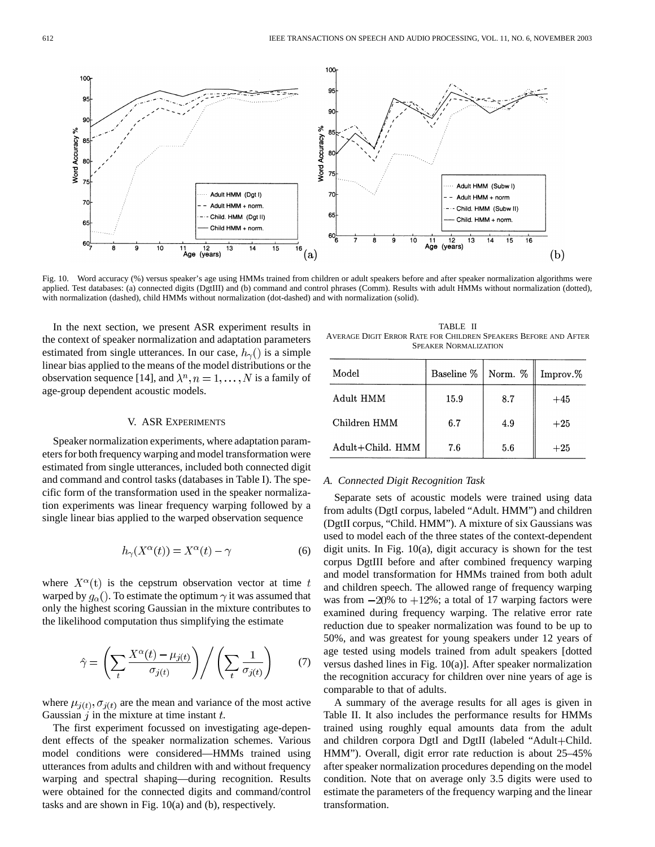

Fig. 10. Word accuracy (%) versus speaker's age using HMMs trained from children or adult speakers before and after speaker normalization algorithms were applied. Test databases: (a) connected digits (DgtIII) and (b) command and control phrases (Comm). Results with adult HMMs without normalization (dotted), with normalization (dashed), child HMMs without normalization (dot-dashed) and with normalization (solid).

In the next section, we present ASR experiment results in the context of speaker normalization and adaptation parameters estimated from single utterances. In our case,  $h_{\gamma}$  is a simple linear bias applied to the means of the model distributions or the observation sequence [14], and  $\lambda^n$ ,  $n = 1, ..., N$  is a family of age-group dependent acoustic models.

## V. ASR EXPERIMENTS

Speaker normalization experiments, where adaptation parameters for both frequency warping and model transformation were estimated from single utterances, included both connected digit and command and control tasks (databases in Table I). The specific form of the transformation used in the speaker normalization experiments was linear frequency warping followed by a single linear bias applied to the warped observation sequence

$$
h_{\gamma}(X^{\alpha}(t)) = X^{\alpha}(t) - \gamma \tag{6}
$$

where  $X^{\alpha}(t)$  is the cepstrum observation vector at time t warped by  $g_{\alpha}$ (). To estimate the optimum  $\gamma$  it was assumed that only the highest scoring Gaussian in the mixture contributes to the likelihood computation thus simplifying the estimate

$$
\hat{\gamma} = \left(\sum_{t} \frac{X^{\alpha}(t) - \mu_{j(t)}}{\sigma_{j(t)}}\right) / \left(\sum_{t} \frac{1}{\sigma_{j(t)}}\right) \tag{7}
$$

where  $\mu_{j(t)}, \sigma_{j(t)}$  are the mean and variance of the most active Gaussian  $j$  in the mixture at time instant  $t$ .

The first experiment focussed on investigating age-dependent effects of the speaker normalization schemes. Various model conditions were considered—HMMs trained using utterances from adults and children with and without frequency warping and spectral shaping—during recognition. Results were obtained for the connected digits and command/control tasks and are shown in Fig. 10(a) and (b), respectively.

TABLE II AVERAGE DIGIT ERROR RATE FOR CHILDREN SPEAKERS BEFORE AND AFTER SPEAKER NORMALIZATION

| Model            | Baseline % | Norm. % | Improv.\% |
|------------------|------------|---------|-----------|
| Adult HMM        | 15.9       | 8.7     | $+45$     |
| Children HMM     | 6.7        | 4.9     | $+25$     |
| Adult+Child. HMM | 7.6        | 5.6     | $+25$     |

## *A. Connected Digit Recognition Task*

Separate sets of acoustic models were trained using data from adults (DgtI corpus, labeled "Adult. HMM") and children (DgtII corpus, "Child. HMM"). A mixture of six Gaussians was used to model each of the three states of the context-dependent digit units. In Fig. 10(a), digit accuracy is shown for the test corpus DgtIII before and after combined frequency warping and model transformation for HMMs trained from both adult and children speech. The allowed range of frequency warping was from  $-20\%$  to  $+12\%$ ; a total of 17 warping factors were examined during frequency warping. The relative error rate reduction due to speaker normalization was found to be up to 50%, and was greatest for young speakers under 12 years of age tested using models trained from adult speakers [dotted versus dashed lines in Fig. 10(a)]. After speaker normalization the recognition accuracy for children over nine years of age is comparable to that of adults.

A summary of the average results for all ages is given in Table II. It also includes the performance results for HMMs trained using roughly equal amounts data from the adult and children corpora DgtI and DgtII (labeled "Adult+Child. HMM"). Overall, digit error rate reduction is about 25–45% after speaker normalization procedures depending on the model condition. Note that on average only 3.5 digits were used to estimate the parameters of the frequency warping and the linear transformation.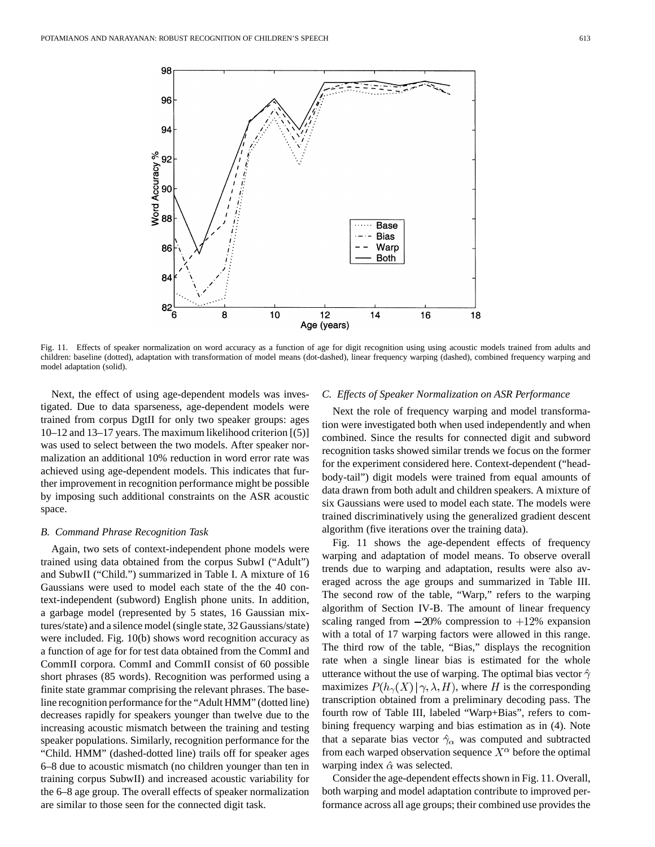

Fig. 11. Effects of speaker normalization on word accuracy as a function of age for digit recognition using using acoustic models trained from adults and children: baseline (dotted), adaptation with transformation of model means (dot-dashed), linear frequency warping (dashed), combined frequency warping and model adaptation (solid).

Next, the effect of using age-dependent models was investigated. Due to data sparseness, age-dependent models were trained from corpus DgtII for only two speaker groups: ages 10–12 and 13–17 years. The maximum likelihood criterion [(5)] was used to select between the two models. After speaker normalization an additional 10% reduction in word error rate was achieved using age-dependent models. This indicates that further improvement in recognition performance might be possible by imposing such additional constraints on the ASR acoustic space.

#### *B. Command Phrase Recognition Task*

Again, two sets of context-independent phone models were trained using data obtained from the corpus SubwI ("Adult") and SubwII ("Child.") summarized in Table I. A mixture of 16 Gaussians were used to model each state of the the 40 context-independent (subword) English phone units. In addition, a garbage model (represented by 5 states, 16 Gaussian mixtures/state) and a silence model (single state, 32 Gaussians/state) were included. Fig. 10(b) shows word recognition accuracy as a function of age for for test data obtained from the CommI and CommII corpora. CommI and CommII consist of 60 possible short phrases (85 words). Recognition was performed using a finite state grammar comprising the relevant phrases. The baseline recognition performance for the "Adult HMM" (dotted line) decreases rapidly for speakers younger than twelve due to the increasing acoustic mismatch between the training and testing speaker populations. Similarly, recognition performance for the "Child. HMM" (dashed-dotted line) trails off for speaker ages 6–8 due to acoustic mismatch (no children younger than ten in training corpus SubwII) and increased acoustic variability for the 6–8 age group. The overall effects of speaker normalization are similar to those seen for the connected digit task.

## *C. Effects of Speaker Normalization on ASR Performance*

Next the role of frequency warping and model transformation were investigated both when used independently and when combined. Since the results for connected digit and subword recognition tasks showed similar trends we focus on the former for the experiment considered here. Context-dependent ("headbody-tail") digit models were trained from equal amounts of data drawn from both adult and children speakers. A mixture of six Gaussians were used to model each state. The models were trained discriminatively using the generalized gradient descent algorithm (five iterations over the training data).

Fig. 11 shows the age-dependent effects of frequency warping and adaptation of model means. To observe overall trends due to warping and adaptation, results were also averaged across the age groups and summarized in Table III. The second row of the table, "Warp," refers to the warping algorithm of Section IV-B. The amount of linear frequency scaling ranged from  $-20\%$  compression to  $+12\%$  expansion with a total of 17 warping factors were allowed in this range. The third row of the table, "Bias," displays the recognition rate when a single linear bias is estimated for the whole utterance without the use of warping. The optimal bias vector  $\hat{\gamma}$ maximizes  $P(h_{\gamma}(X) | \gamma, \lambda, H)$ , where H is the corresponding transcription obtained from a preliminary decoding pass. The fourth row of Table III, labeled "Warp+Bias", refers to combining frequency warping and bias estimation as in (4). Note that a separate bias vector  $\hat{\gamma}_{\alpha}$  was computed and subtracted from each warped observation sequence  $X^{\alpha}$  before the optimal warping index  $\hat{\alpha}$  was selected.

Consider the age-dependent effects shown in Fig. 11. Overall, both warping and model adaptation contribute to improved performance across all age groups; their combined use provides the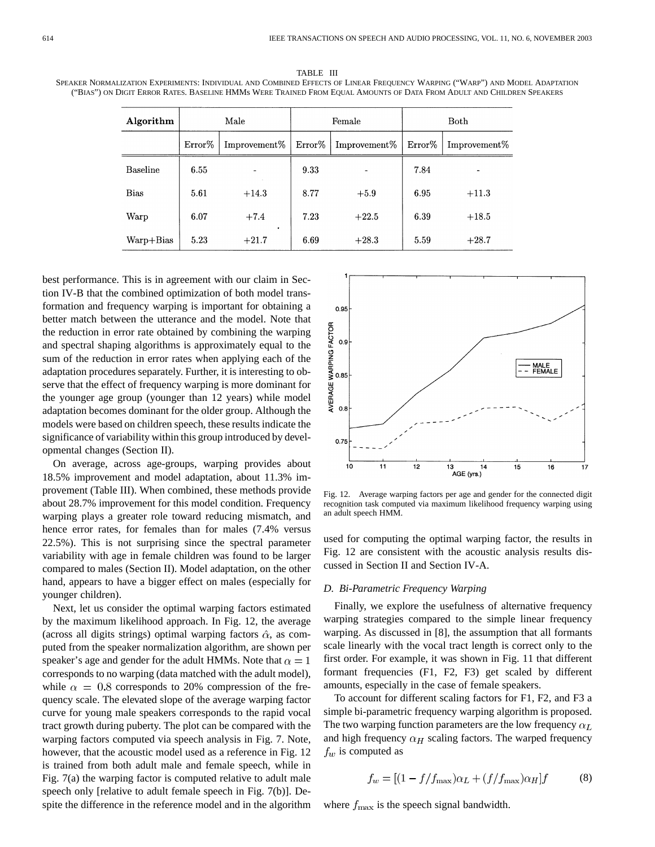TABLE III SPEAKER NORMALIZATION EXPERIMENTS: INDIVIDUAL AND COMBINED EFFECTS OF LINEAR FREQUENCY WARPING ("WARP") AND MODEL ADAPTATION ("BIAS") ON DIGIT ERROR RATES. BASELINE HMMs WERE TRAINED FROM EQUAL AMOUNTS OF DATA FROM ADULT AND CHILDREN SPEAKERS

| Algorithm   | Male      |                 | Female    |              | Both      |              |
|-------------|-----------|-----------------|-----------|--------------|-----------|--------------|
|             | $Error\%$ | $Improvement\%$ | $Error\%$ | Improvement% | $Error\%$ | Improvement% |
| Baseline    | 6.55      |                 | 9.33      |              | 7.84      |              |
| <b>Bias</b> | 5.61      | $+14.3$         | 8.77      | $+5.9$       | 6.95      | $+11.3$      |
| Warp        | 6.07      | $+7.4$          | 7.23      | $+22.5$      | 6.39      | $+18.5$      |
| Warp+Bias   | 5.23      | ٠<br>$+21.7$    | 6.69      | $+28.3$      | 5.59      | $+28.7$      |

best performance. This is in agreement with our claim in Section IV-B that the combined optimization of both model transformation and frequency warping is important for obtaining a better match between the utterance and the model. Note that the reduction in error rate obtained by combining the warping and spectral shaping algorithms is approximately equal to the sum of the reduction in error rates when applying each of the adaptation procedures separately. Further, it is interesting to observe that the effect of frequency warping is more dominant for the younger age group (younger than 12 years) while model adaptation becomes dominant for the older group. Although the models were based on children speech, these results indicate the significance of variability within this group introduced by developmental changes (Section II).

On average, across age-groups, warping provides about 18.5% improvement and model adaptation, about 11.3% improvement (Table III). When combined, these methods provide about 28.7% improvement for this model condition. Frequency warping plays a greater role toward reducing mismatch, and hence error rates, for females than for males (7.4% versus 22.5%). This is not surprising since the spectral parameter variability with age in female children was found to be larger compared to males (Section II). Model adaptation, on the other hand, appears to have a bigger effect on males (especially for younger children).

Next, let us consider the optimal warping factors estimated by the maximum likelihood approach. In Fig. 12, the average (across all digits strings) optimal warping factors  $\hat{\alpha}$ , as computed from the speaker normalization algorithm, are shown per speaker's age and gender for the adult HMMs. Note that  $\alpha = 1$ corresponds to no warping (data matched with the adult model), while  $\alpha = 0.8$  corresponds to 20% compression of the frequency scale. The elevated slope of the average warping factor curve for young male speakers corresponds to the rapid vocal tract growth during puberty. The plot can be compared with the warping factors computed via speech analysis in Fig. 7. Note, however, that the acoustic model used as a reference in Fig. 12 is trained from both adult male and female speech, while in Fig. 7(a) the warping factor is computed relative to adult male speech only [relative to adult female speech in Fig. 7(b)]. Despite the difference in the reference model and in the algorithm



Fig. 12. Average warping factors per age and gender for the connected digit recognition task computed via maximum likelihood frequency warping using an adult speech HMM.

used for computing the optimal warping factor, the results in Fig. 12 are consistent with the acoustic analysis results discussed in Section II and Section IV-A.

## *D. Bi-Parametric Frequency Warping*

Finally, we explore the usefulness of alternative frequency warping strategies compared to the simple linear frequency warping. As discussed in [8], the assumption that all formants scale linearly with the vocal tract length is correct only to the first order. For example, it was shown in Fig. 11 that different formant frequencies (F1, F2, F3) get scaled by different amounts, especially in the case of female speakers.

To account for different scaling factors for F1, F2, and F3 a simple bi-parametric frequency warping algorithm is proposed. The two warping function parameters are the low frequency  $\alpha_L$ and high frequency  $\alpha_H$  scaling factors. The warped frequency  $f_w$  is computed as

$$
f_w = [(1 - f/f_{\text{max}})\alpha_L + (f/f_{\text{max}})\alpha_H]f \tag{8}
$$

where  $f_{\text{max}}$  is the speech signal bandwidth.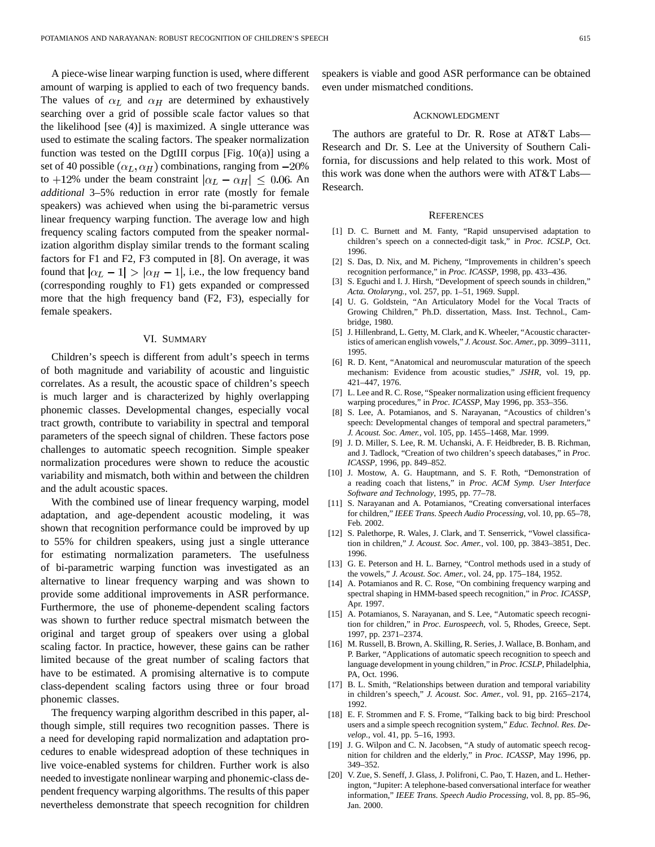A piece-wise linear warping function is used, where different amount of warping is applied to each of two frequency bands. The values of  $\alpha_L$  and  $\alpha_H$  are determined by exhaustively searching over a grid of possible scale factor values so that the likelihood [see (4)] is maximized. A single utterance was used to estimate the scaling factors. The speaker normalization function was tested on the DgtIII corpus [Fig. 10(a)] using a set of 40 possible ( $\alpha_L, \alpha_H$ ) combinations, ranging from  $-20\%$ to +12% under the beam constraint  $|\alpha_L - \alpha_H| \leq 0.06$ . An *additional* 3–5% reduction in error rate (mostly for female speakers) was achieved when using the bi-parametric versus linear frequency warping function. The average low and high frequency scaling factors computed from the speaker normalization algorithm display similar trends to the formant scaling factors for F1 and F2, F3 computed in [8]. On average, it was found that  $|\alpha_L - 1| > |\alpha_H - 1|$ , i.e., the low frequency band (corresponding roughly to F1) gets expanded or compressed more that the high frequency band (F2, F3), especially for female speakers.

## VI. SUMMARY

Children's speech is different from adult's speech in terms of both magnitude and variability of acoustic and linguistic correlates. As a result, the acoustic space of children's speech is much larger and is characterized by highly overlapping phonemic classes. Developmental changes, especially vocal tract growth, contribute to variability in spectral and temporal parameters of the speech signal of children. These factors pose challenges to automatic speech recognition. Simple speaker normalization procedures were shown to reduce the acoustic variability and mismatch, both within and between the children and the adult acoustic spaces.

With the combined use of linear frequency warping, model adaptation, and age-dependent acoustic modeling, it was shown that recognition performance could be improved by up to 55% for children speakers, using just a single utterance for estimating normalization parameters. The usefulness of bi-parametric warping function was investigated as an alternative to linear frequency warping and was shown to provide some additional improvements in ASR performance. Furthermore, the use of phoneme-dependent scaling factors was shown to further reduce spectral mismatch between the original and target group of speakers over using a global scaling factor. In practice, however, these gains can be rather limited because of the great number of scaling factors that have to be estimated. A promising alternative is to compute class-dependent scaling factors using three or four broad phonemic classes.

The frequency warping algorithm described in this paper, although simple, still requires two recognition passes. There is a need for developing rapid normalization and adaptation procedures to enable widespread adoption of these techniques in live voice-enabled systems for children. Further work is also needed to investigate nonlinear warping and phonemic-class dependent frequency warping algorithms. The results of this paper nevertheless demonstrate that speech recognition for children

speakers is viable and good ASR performance can be obtained even under mismatched conditions.

#### ACKNOWLEDGMENT

The authors are grateful to Dr. R. Rose at AT&T Labs— Research and Dr. S. Lee at the University of Southern California, for discussions and help related to this work. Most of this work was done when the authors were with AT&T Labs— Research.

### **REFERENCES**

- [1] D. C. Burnett and M. Fanty, "Rapid unsupervised adaptation to children's speech on a connected-digit task," in *Proc. ICSLP*, Oct. 1996.
- [2] S. Das, D. Nix, and M. Picheny, "Improvements in children's speech recognition performance," in *Proc. ICASSP*, 1998, pp. 433–436.
- [3] S. Eguchi and I. J. Hirsh, "Development of speech sounds in children," *Acta. Otolaryng.*, vol. 257, pp. 1–51, 1969. Suppl.
- [4] U. G. Goldstein, "An Articulatory Model for the Vocal Tracts of Growing Children," Ph.D. dissertation, Mass. Inst. Technol., Cambridge, 1980.
- [5] J. Hillenbrand, L. Getty, M. Clark, and K. Wheeler, "Acoustic characteristics of american english vowels," *J. Acoust. Soc. Amer.*, pp. 3099–3111, 1995.
- [6] R. D. Kent, "Anatomical and neuromuscular maturation of the speech mechanism: Evidence from acoustic studies," *JSHR*, vol. 19, pp. 421–447, 1976.
- [7] L. Lee and R. C. Rose, "Speaker normalization using efficient frequency warping procedures," in *Proc. ICASSP*, May 1996, pp. 353–356.
- [8] S. Lee, A. Potamianos, and S. Narayanan, "Acoustics of children's speech: Developmental changes of temporal and spectral parameters," *J. Acoust. Soc. Amer.*, vol. 105, pp. 1455–1468, Mar. 1999.
- [9] J. D. Miller, S. Lee, R. M. Uchanski, A. F. Heidbreder, B. B. Richman, and J. Tadlock, "Creation of two children's speech databases," in *Proc. ICASSP*, 1996, pp. 849–852.
- [10] J. Mostow, A. G. Hauptmann, and S. F. Roth, "Demonstration of a reading coach that listens," in *Proc. ACM Symp. User Interface Software and Technology*, 1995, pp. 77–78.
- [11] S. Narayanan and A. Potamianos, "Creating conversational interfaces for children," *IEEE Trans. Speech Audio Processing*, vol. 10, pp. 65–78, Feb. 2002.
- [12] S. Palethorpe, R. Wales, J. Clark, and T. Senserrick, "Vowel classification in children," *J. Acoust. Soc. Amer.*, vol. 100, pp. 3843–3851, Dec. 1996.
- [13] G. E. Peterson and H. L. Barney, "Control methods used in a study of the vowels," *J. Acoust. Soc. Amer.*, vol. 24, pp. 175–184, 1952.
- [14] A. Potamianos and R. C. Rose, "On combining frequency warping and spectral shaping in HMM-based speech recognition," in *Proc. ICASSP*, Apr. 1997.
- [15] A. Potamianos, S. Narayanan, and S. Lee, "Automatic speech recognition for children," in *Proc. Eurospeech*, vol. 5, Rhodes, Greece, Sept. 1997, pp. 2371–2374.
- [16] M. Russell, B. Brown, A. Skilling, R. Series, J. Wallace, B. Bonham, and P. Barker, "Applications of automatic speech recognition to speech and language development in young children," in *Proc. ICSLP*, Philadelphia, PA, Oct. 1996.
- [17] B. L. Smith, "Relationships between duration and temporal variability in children's speech," *J. Acoust. Soc. Amer.*, vol. 91, pp. 2165–2174, 1992.
- [18] E. F. Strommen and F. S. Frome, "Talking back to big bird: Preschool users and a simple speech recognition system," *Educ. Technol. Res. Develop.*, vol. 41, pp. 5–16, 1993.
- [19] J. G. Wilpon and C. N. Jacobsen, "A study of automatic speech recognition for children and the elderly," in *Proc. ICASSP*, May 1996, pp. 349–352.
- [20] V. Zue, S. Seneff, J. Glass, J. Polifroni, C. Pao, T. Hazen, and L. Hetherington, "Jupiter: A telephone-based conversational interface for weather information," *IEEE Trans. Speech Audio Processing*, vol. 8, pp. 85–96, Jan. 2000.